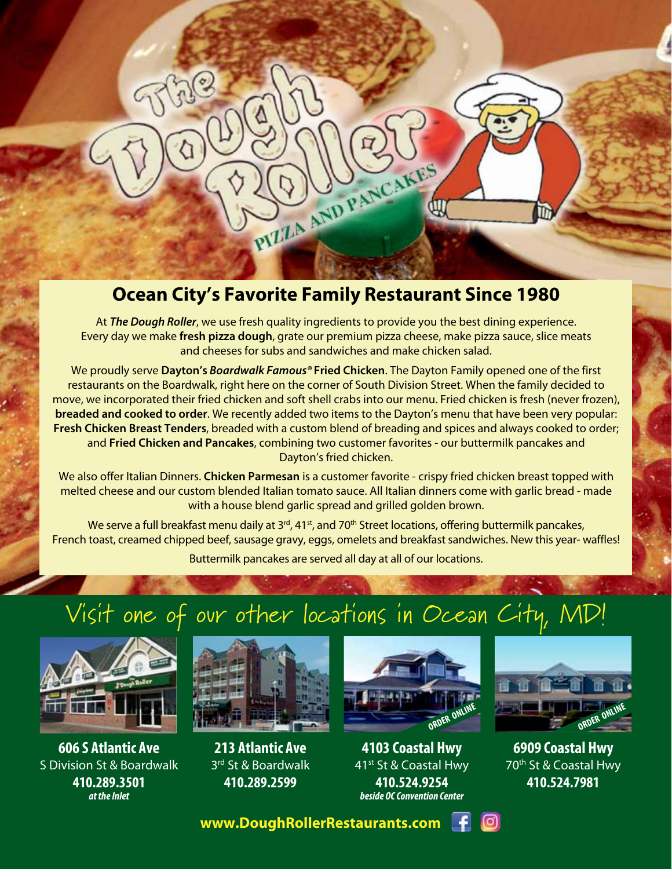### **Ocean City's Favorite Family Restaurant Since 1980**

PIZZA AND PANCAKES

侧

At *The Dough Roller*, we use fresh quality ingredients to provide you the best dining experience. Every day we make **fresh pizza dough**, grate our premium pizza cheese, make pizza sauce, slice meats and cheeses for subs and sandwiches and make chicken salad.

We proudly serve **Dayton's** *Boardwalk Famous®* **Fried Chicken**. The Dayton Family opened one of the first restaurants on the Boardwalk, right here on the corner of South Division Street. When the family decided to move, we incorporated their fried chicken and soft shell crabs into our menu. Fried chicken is fresh (never frozen), **breaded and cooked to order**. We recently added two items to the Dayton's menu that have been very popular: **Fresh Chicken Breast Tenders**, breaded with a custom blend of breading and spices and always cooked to order; and **Fried Chicken and Pancakes**, combining two customer favorites - our buttermilk pancakes and Dayton's fried chicken.

We also offer Italian Dinners. **Chicken Parmesan** is a customer favorite - crispy fried chicken breast topped with melted cheese and our custom blended Italian tomato sauce. All Italian dinners come with garlic bread - made with a house blend garlic spread and grilled golden brown.

We serve a full breakfast menu daily at 3<sup>rd</sup>, 41<sup>st</sup>, and 70<sup>th</sup> Street locations, offering buttermilk pancakes, French toast, creamed chipped beef, sausage gravy, eggs, omelets and breakfast sandwiches. New this year- waffles!

Buttermilk pancakes are served all day at all of our locations.

### Visit one of our other locations in Ocean City, MD!



**606 S Atlantic Ave** S Division St & Boardwalk **410.289.3501**  *at the Inlet*



**213 Atlantic Ave** 3<sup>rd</sup> St & Boardwalk **410.289.2599**



**4103 Coastal Hwy** 41st St & Coastal Hwy **410.524.9254** *beside OC Convention Center*



**6909 Coastal Hwy** 70<sup>th</sup> St & Coastal Hwy **410.524.7981**

 **www.DoughRollerRestaurants.com**

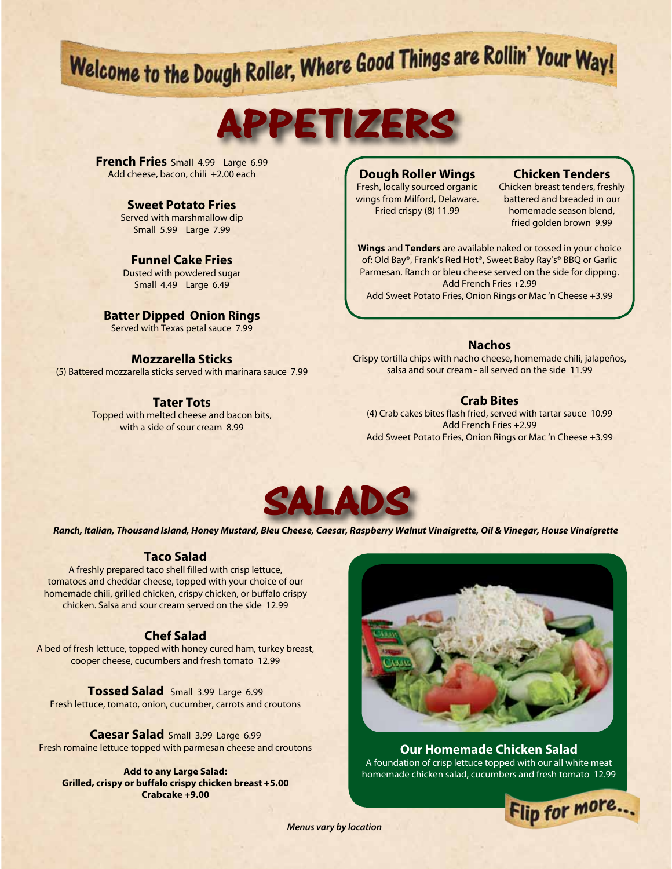# Welcome to the Dough Roller, Where Good Things are Rollin' Your Way!

## **APPETIZERS**

**French Fries** Small 4.99 Large 6.99 Add cheese, bacon, chili +2.00 each

#### **Sweet Potato Fries**

Served with marshmallow dip Small 5.99 Large 7.99

#### **Funnel Cake Fries**

Dusted with powdered sugar Small 4.49 Large 6.49

#### **Batter Dipped Onion Rings**

Served with Texas petal sauce 7.99

#### **Mozzarella Sticks**

(5) Battered mozzarella sticks served with marinara sauce 7.99

#### **Tater Tots**

Topped with melted cheese and bacon bits, with a side of sour cream 8.99

#### **Dough Roller Wings**

Fresh, locally sourced organic wings from Milford, Delaware. Fried crispy (8) 11.99

#### **Chicken Tenders**

Chicken breast tenders, freshly battered and breaded in our homemade season blend, fried golden brown 9.99

**Wings** and **Tenders** are available naked or tossed in your choice of: Old Bay®, Frank's Red Hot®, Sweet Baby Ray's® BBQ or Garlic Parmesan. Ranch or bleu cheese served on the side for dipping. Add French Fries +2.99 Add Sweet Potato Fries, Onion Rings or Mac 'n Cheese +3.99

#### **Nachos**

Crispy tortilla chips with nacho cheese, homemade chili, jalapeños, salsa and sour cream - all served on the side 11.99

#### **Crab Bites**

(4) Crab cakes bites flash fried, served with tartar sauce 10.99 Add French Fries +2.99 Add Sweet Potato Fries, Onion Rings or Mac 'n Cheese +3.99



*Ranch, Italian, Thousand Island, Honey Mustard, Bleu Cheese, Caesar, Raspberry Walnut Vinaigrette, Oil & Vinegar, House Vinaigrette*

#### **Taco Salad**

A freshly prepared taco shell filled with crisp lettuce, tomatoes and cheddar cheese, topped with your choice of our homemade chili, grilled chicken, crispy chicken, or buffalo crispy chicken. Salsa and sour cream served on the side 12.99

#### **Chef Salad**

A bed of fresh lettuce, topped with honey cured ham, turkey breast, cooper cheese, cucumbers and fresh tomato 12.99

**Tossed Salad** Small 3.99 Large 6.99 Fresh lettuce, tomato, onion, cucumber, carrots and croutons

**Caesar Salad** Small 3.99 Large 6.99 Fresh romaine lettuce topped with parmesan cheese and croutons

**Add to any Large Salad: Grilled, crispy or buffalo crispy chicken breast +5.00 Crabcake +9.00**



**Our Homemade Chicken Salad**  A foundation of crisp lettuce topped with our all white meat homemade chicken salad, cucumbers and fresh tomato 12.99



*Menus vary by location*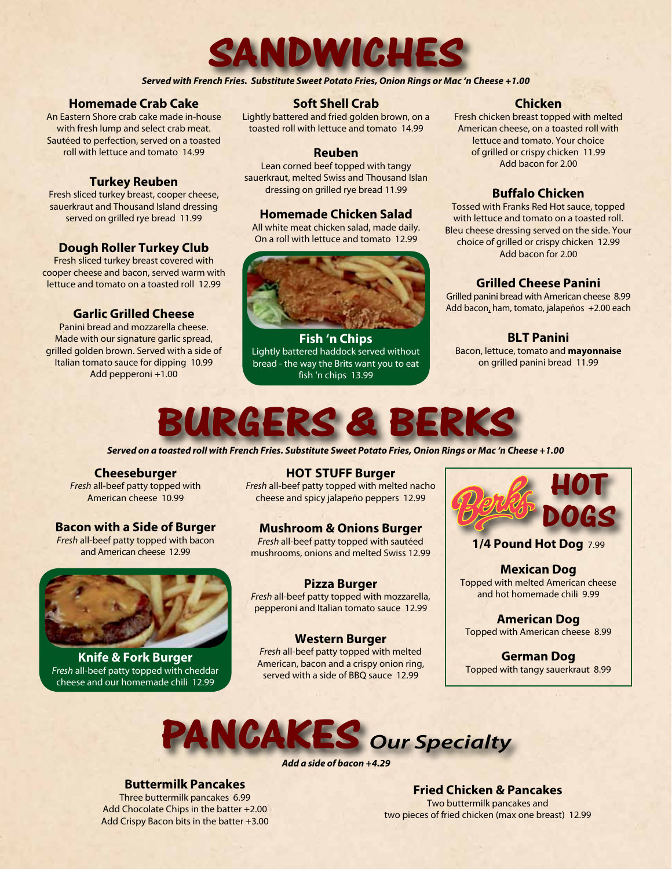

*Served with French Fries. Substitute Sweet Potato Fries, Onion Rings or Mac 'n Cheese +1.00*

#### **Homemade Crab Cake**

An Eastern Shore crab cake made in-house with fresh lump and select crab meat. Sautéed to perfection, served on a toasted roll with lettuce and tomato 14.99

#### **Turkey Reuben**

Fresh sliced turkey breast, cooper cheese, sauerkraut and Thousand Island dressing served on grilled rye bread 11.99

#### **Dough Roller Turkey Club**

Fresh sliced turkey breast covered with cooper cheese and bacon, served warm with lettuce and tomato on a toasted roll 12.99

#### **Garlic Grilled Cheese**

Panini bread and mozzarella cheese. Made with our signature garlic spread, grilled golden brown. Served with a side of Italian tomato sauce for dipping 10.99 Add pepperoni +1.00

#### **Soft Shell Crab**

Lightly battered and fried golden brown, on a toasted roll with lettuce and tomato 14.99

#### **Reuben**

Lean corned beef topped with tangy sauerkraut, melted Swiss and Thousand Islan dressing on grilled rye bread 11.99

#### **Homemade Chicken Salad**

All white meat chicken salad, made daily. On a roll with lettuce and tomato 12.99



**Fish 'n Chips**  Lightly battered haddock served without bread - the way the Brits want you to eat fish 'n chips 13.99

#### **Chicken**

Fresh chicken breast topped with melted American cheese, on a toasted roll with lettuce and tomato. Your choice of grilled or crispy chicken 11.99 Add bacon for 2.00

#### **Buffalo Chicken**

Tossed with Franks Red Hot sauce, topped with lettuce and tomato on a toasted roll. Bleu cheese dressing served on the side. Your choice of grilled or crispy chicken 12.99 Add bacon for 2.00

#### **Grilled Cheese Panini**

Grilled panini bread with American cheese 8.99 Add bacon, ham, tomato, jalapeños +2.00 each

**BLT Panini**  Bacon, lettuce, tomato and **mayonnaise** on grilled panini bread 11.99



*Served on a toasted roll with French Fries. Substitute Sweet Potato Fries, Onion Rings or Mac 'n Cheese +1.00*

#### **Cheeseburger** *Fresh* all-beef patty topped with

American cheese 10.99

#### **Bacon with a Side of Burger**

*Fresh* all-beef patty topped with bacon and American cheese 12.99



**Knife & Fork Burger** *Fresh* all-beef patty topped with cheddar cheese and our homemade chili 12.99

**HOT STUFF Burger**

*Fresh* all-beef patty topped with melted nacho cheese and spicy jalapeño peppers 12.99

#### **Mushroom & Onions Burger**

*Fresh* all-beef patty topped with sautéed mushrooms, onions and melted Swiss 12.99

#### **Pizza Burger** *Fresh* all-beef patty topped with mozzarella, pepperoni and Italian tomato sauce 12.99

#### **Western Burger**

*Fresh* all-beef patty topped with melted American, bacon and a crispy onion ring, served with a side of BBQ sauce 12.99



**1/4 Pound Hot Dog** 7.99

**Mexican Dog** Topped with melted American cheese and hot homemade chili 9.99

**American Dog** Topped with American cheese 8.99

**German Dog** Topped with tangy sauerkraut 8.99

### **PANCAKES** *Our Specialty*

*Add a side of bacon +4.29*

**Buttermilk Pancakes**  Three buttermilk pancakes 6.99 Add Chocolate Chips in the batter +2.00 Add Crispy Bacon bits in the batter +3.00

**Fried Chicken & Pancakes** Two buttermilk pancakes and two pieces of fried chicken (max one breast) 12.99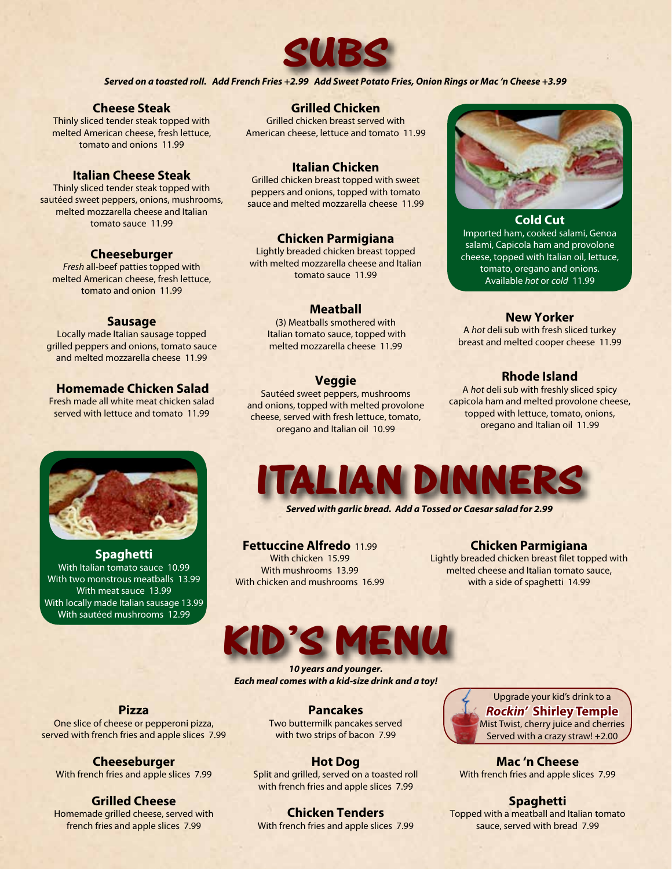

*Served on a toasted roll. Add French Fries +2.99 Add Sweet Potato Fries, Onion Rings or Mac 'n Cheese +3.99*

#### **Cheese Steak**

Thinly sliced tender steak topped with melted American cheese, fresh lettuce, tomato and onions 11.99

#### **Italian Cheese Steak**

Thinly sliced tender steak topped with sautéed sweet peppers, onions, mushrooms, melted mozzarella cheese and Italian tomato sauce 11.99

#### **Cheeseburger**

*Fresh* all-beef patties topped with melted American cheese, fresh lettuce, tomato and onion 11.99

#### **Sausage**

Locally made Italian sausage topped grilled peppers and onions, tomato sauce and melted mozzarella cheese 11.99

#### **Homemade Chicken Salad**

Fresh made all white meat chicken salad served with lettuce and tomato 11.99



**Spaghetti** With Italian tomato sauce 10.99 With two monstrous meatballs 13.99 With meat sauce 13.99 With locally made Italian sausage 13.99 With sautéed mushrooms 12.99

#### **Grilled Chicken**

Grilled chicken breast served with American cheese, lettuce and tomato 11.99

#### **Italian Chicken**

Grilled chicken breast topped with sweet peppers and onions, topped with tomato sauce and melted mozzarella cheese 11.99

#### **Chicken Parmigiana**

Lightly breaded chicken breast topped with melted mozzarella cheese and Italian tomato sauce 11.99

#### **Meatball**

(3) Meatballs smothered with Italian tomato sauce, topped with melted mozzarella cheese 11.99

#### **Veggie**

Sautéed sweet peppers, mushrooms and onions, topped with melted provolone cheese, served with fresh lettuce, tomato, oregano and Italian oil 10.99



#### **Cold Cut**

Imported ham, cooked salami, Genoa salami, Capicola ham and provolone cheese, topped with Italian oil, lettuce, tomato, oregano and onions. Available *hot* or *cold* 11.99

#### **New Yorker**

A *hot* deli sub with fresh sliced turkey breast and melted cooper cheese 11.99

#### **Rhode Island**

A *hot* deli sub with freshly sliced spicy capicola ham and melted provolone cheese, topped with lettuce, tomato, onions, oregano and Italian oil 11.99



*Served with garlic bread. Add a Tossed or Caesar salad for 2.99*

**Fettuccine Alfredo** 11.99 With chicken 15.99 With mushrooms 13.99 With chicken and mushrooms 16.99

#### **Chicken Parmigiana**

Lightly breaded chicken breast filet topped with melted cheese and Italian tomato sauce, with a side of spaghetti 14.99



*10 years and younger. Each meal comes with a kid-size drink and a toy!*

#### **Pancakes**

Two buttermilk pancakes served with two strips of bacon 7.99

**Hot Dog** Split and grilled, served on a toasted roll with french fries and apple slices 7.99

Upgrade your kid's drink to a *Rockin'* **Shirley Temple** Mist Twist, cherry juice and cherries Served with a crazy straw! +2.00

**Mac 'n Cheese** With french fries and apple slices 7.99

**Spaghetti** Topped with a meatball and Italian tomato sauce, served with bread 7.99

#### **Pizza**

One slice of cheese or pepperoni pizza, served with french fries and apple slices 7.99

**Cheeseburger** With french fries and apple slices 7.99

#### **Grilled Cheese** Homemade grilled cheese, served with french fries and apple slices 7.99

**Chicken Tenders**

With french fries and apple slices 7.99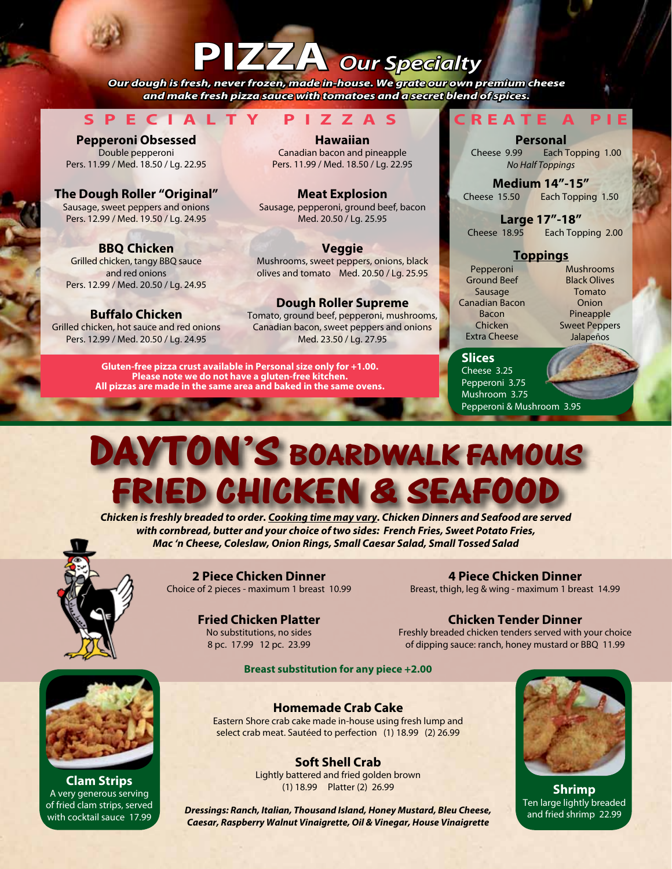### **PIZZA** *Our Specialty*

*Our dough is fresh, never frozen, made in-house. We grate our own premium cheese and make fresh pizza sauce with tomatoes and a secret blend of spices.*

**SPECIALTY PIZZAS CREATE A PIE**

**Pepperoni Obsessed**  Double pepperoni Pers. 11.99 / Med. 18.50 / Lg. 22.95

**The Dough Roller "Original"**  Sausage, sweet peppers and onions Pers. 12.99 / Med. 19.50 / Lg. 24.95

**BBQ Chicken**  Grilled chicken, tangy BBQ sauce and red onions Pers. 12.99 / Med. 20.50 / Lg. 24.95

**Buffalo Chicken**  Grilled chicken, hot sauce and red onions Pers. 12.99 / Med. 20.50 / Lg. 24.95

**Hawaiian**  Canadian bacon and pineapple Pers. 11.99 / Med. 18.50 / Lg. 22.95

**Meat Explosion**  Sausage, pepperoni, ground beef, bacon Med. 20.50 / Lg. 25.95

**Veggie**  Mushrooms, sweet peppers, onions, black olives and tomato Med. 20.50 / Lg. 25.95

#### **Dough Roller Supreme**  Tomato, ground beef, pepperoni, mushrooms,

Canadian bacon, sweet peppers and onions Med. 23.50 / Lg. 27.95

**Gluten-free pizza crust available in Personal size only for +1.00. Please note we do not have a gluten-free kitchen. All pizzas are made in the same area and baked in the same ovens.**

**Personal** Cheese 9.99 Each Topping 1.00 *No Half Toppings*

**Medium 14"-15"**  Cheese 15.50 Each Topping 1.50

**Large 17"-18"** Cheese 18.95 Each Topping 2.00

#### **Toppings**

Pepperoni Ground Beef Sausage Canadian Bacon Bacon Chicken Extra Cheese

Mushrooms Black Olives Tomato **Onion** Pineapple Sweet Peppers Jalapeños

**Slices** Cheese 3.25 Pepperoni 3.75 Mushroom 3.75 Pepperoni & Mushroom 3.95

### **DAYTON'S BOARDWALK FAMOUS FRIED CHICKEN & SEAFO**

*Chicken is freshly breaded to order. Cooking time may vary. Chicken Dinners and Seafood are served with cornbread, butter and your choice of two sides: French Fries, Sweet Potato Fries, Mac 'n Cheese, Coleslaw, Onion Rings, Small Caesar Salad, Small Tossed Salad*



**2 Piece Chicken Dinner** Choice of 2 pieces - maximum 1 breast 10.99

**4 Piece Chicken Dinner** Breast, thigh, leg & wing - maximum 1 breast 14.99

**Fried Chicken Platter** No substitutions, no sides 8 pc. 17.99 12 pc. 23.99

**Chicken Tender Dinner**

Freshly breaded chicken tenders served with your choice of dipping sauce: ranch, honey mustard or BBQ 11.99

**Breast substitution for any piece +2.00**



**Soft Shell Crab** Lightly battered and fried golden brown (1) 18.99 Platter (2) 26.99



**Shrimp** Ten large lightly breaded and fried shrimp 22.99

**Clam Strips** A very generous serving of fried clam strips, served with cocktail sauce 17.99

*Dressings: Ranch, Italian, Thousand Island, Honey Mustard, Bleu Cheese, Caesar, Raspberry Walnut Vinaigrette, Oil & Vinegar, House Vinaigrette*